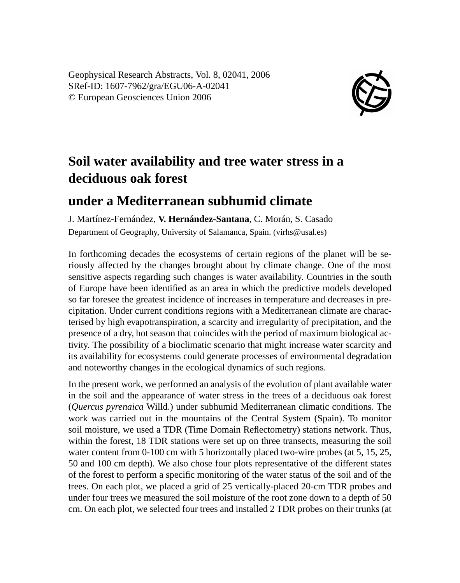Geophysical Research Abstracts, Vol. 8, 02041, 2006 SRef-ID: 1607-7962/gra/EGU06-A-02041 © European Geosciences Union 2006



## **Soil water availability and tree water stress in a deciduous oak forest**

## **under a Mediterranean subhumid climate**

J. Martínez-Fernández, **V. Hernández-Santana**, C. Morán, S. Casado Department of Geography, University of Salamanca, Spain. (virhs@usal.es)

In forthcoming decades the ecosystems of certain regions of the planet will be seriously affected by the changes brought about by climate change. One of the most sensitive aspects regarding such changes is water availability. Countries in the south of Europe have been identified as an area in which the predictive models developed so far foresee the greatest incidence of increases in temperature and decreases in precipitation. Under current conditions regions with a Mediterranean climate are characterised by high evapotranspiration, a scarcity and irregularity of precipitation, and the presence of a dry, hot season that coincides with the period of maximum biological activity. The possibility of a bioclimatic scenario that might increase water scarcity and its availability for ecosystems could generate processes of environmental degradation and noteworthy changes in the ecological dynamics of such regions.

In the present work, we performed an analysis of the evolution of plant available water in the soil and the appearance of water stress in the trees of a deciduous oak forest (*Quercus pyrenaica* Willd.) under subhumid Mediterranean climatic conditions. The work was carried out in the mountains of the Central System (Spain). To monitor soil moisture, we used a TDR (Time Domain Reflectometry) stations network. Thus, within the forest, 18 TDR stations were set up on three transects, measuring the soil water content from 0-100 cm with 5 horizontally placed two-wire probes (at 5, 15, 25, 50 and 100 cm depth). We also chose four plots representative of the different states of the forest to perform a specific monitoring of the water status of the soil and of the trees. On each plot, we placed a grid of 25 vertically-placed 20-cm TDR probes and under four trees we measured the soil moisture of the root zone down to a depth of 50 cm. On each plot, we selected four trees and installed 2 TDR probes on their trunks (at